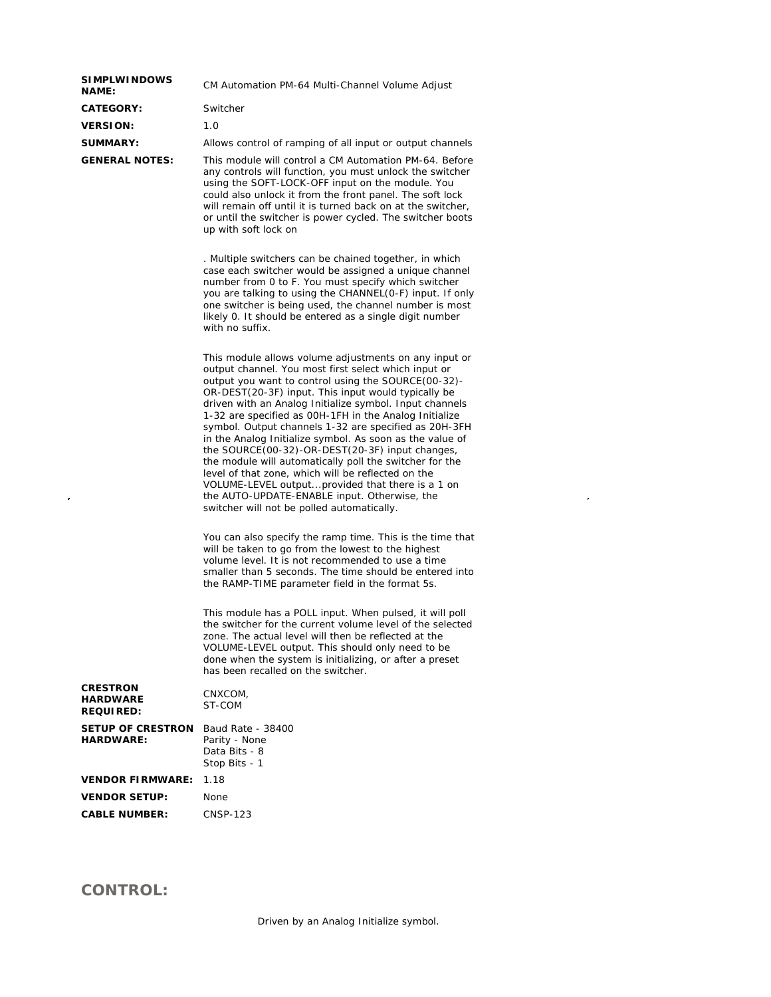| <b>SIMPLWINDOWS</b><br><b>NAME:</b>                    | CM Automation PM-64 Multi-Channel Volume Adjust                                                                                                                                                                                                                                                                                                                                                                                                                                                                                                                                                                                                                                                                                                                                             |  |
|--------------------------------------------------------|---------------------------------------------------------------------------------------------------------------------------------------------------------------------------------------------------------------------------------------------------------------------------------------------------------------------------------------------------------------------------------------------------------------------------------------------------------------------------------------------------------------------------------------------------------------------------------------------------------------------------------------------------------------------------------------------------------------------------------------------------------------------------------------------|--|
| CATEGORY:                                              | Switcher                                                                                                                                                                                                                                                                                                                                                                                                                                                                                                                                                                                                                                                                                                                                                                                    |  |
| <b>VERSION:</b>                                        | 1.0                                                                                                                                                                                                                                                                                                                                                                                                                                                                                                                                                                                                                                                                                                                                                                                         |  |
| <b>SUMMARY:</b>                                        | Allows control of ramping of all input or output channels                                                                                                                                                                                                                                                                                                                                                                                                                                                                                                                                                                                                                                                                                                                                   |  |
| <b>GENERAL NOTES:</b>                                  | This module will control a CM Automation PM-64. Before<br>any controls will function, you must unlock the switcher<br>using the SOFT-LOCK-OFF input on the module. You<br>could also unlock it from the front panel. The soft lock<br>will remain off until it is turned back on at the switcher,<br>or until the switcher is power cycled. The switcher boots<br>up with soft lock on                                                                                                                                                                                                                                                                                                                                                                                                      |  |
|                                                        | . Multiple switchers can be chained together, in which<br>case each switcher would be assigned a unique channel<br>number from 0 to F. You must specify which switcher<br>you are talking to using the CHANNEL(0-F) input. If only<br>one switcher is being used, the channel number is most<br>likely 0. It should be entered as a single digit number<br>with no suffix.                                                                                                                                                                                                                                                                                                                                                                                                                  |  |
|                                                        | This module allows volume adjustments on any input or<br>output channel. You most first select which input or<br>output you want to control using the SOURCE(00-32)-<br>OR-DEST(20-3F) input. This input would typically be<br>driven with an Analog Initialize symbol. Input channels<br>1-32 are specified as OOH-1FH in the Analog Initialize<br>symbol. Output channels 1-32 are specified as 20H-3FH<br>in the Analog Initialize symbol. As soon as the value of<br>the SOURCE(00-32)-OR-DEST(20-3F) input changes,<br>the module will automatically poll the switcher for the<br>level of that zone, which will be reflected on the<br>VOLUME-LEVEL outputprovided that there is a 1 on<br>the AUTO-UPDATE-ENABLE input. Otherwise, the<br>switcher will not be polled automatically. |  |
|                                                        | You can also specify the ramp time. This is the time that<br>will be taken to go from the lowest to the highest<br>volume level. It is not recommended to use a time<br>smaller than 5 seconds. The time should be entered into<br>the RAMP-TIME parameter field in the format 5s.                                                                                                                                                                                                                                                                                                                                                                                                                                                                                                          |  |
|                                                        | This module has a POLL input. When pulsed, it will poll<br>the switcher for the current volume level of the selected<br>zone. The actual level will then be reflected at the<br>VOLUME-LEVEL output. This should only need to be<br>done when the system is initializing, or after a preset<br>has been recalled on the switcher.                                                                                                                                                                                                                                                                                                                                                                                                                                                           |  |
| <b>CRESTRON</b><br><b>HARDWARE</b><br><b>REQUIRED:</b> | CNXCOM,<br>ST-COM                                                                                                                                                                                                                                                                                                                                                                                                                                                                                                                                                                                                                                                                                                                                                                           |  |
| <b>SETUP OF CRESTRON</b><br><b>HARDWARE:</b>           | Baud Rate - 38400<br>Parity - None<br>Data Bits - 8<br>Stop Bits - 1                                                                                                                                                                                                                                                                                                                                                                                                                                                                                                                                                                                                                                                                                                                        |  |
| <b>VENDOR FIRMWARE:</b>                                | 1.18                                                                                                                                                                                                                                                                                                                                                                                                                                                                                                                                                                                                                                                                                                                                                                                        |  |
| <b>VENDOR SETUP:</b>                                   | None                                                                                                                                                                                                                                                                                                                                                                                                                                                                                                                                                                                                                                                                                                                                                                                        |  |
| <b>CABLE NUMBER:</b>                                   | CNSP-123                                                                                                                                                                                                                                                                                                                                                                                                                                                                                                                                                                                                                                                                                                                                                                                    |  |
|                                                        |                                                                                                                                                                                                                                                                                                                                                                                                                                                                                                                                                                                                                                                                                                                                                                                             |  |

 $\label{eq:2.1} \frac{1}{2} \sum_{i=1}^n \frac{1}{2} \sum_{j=1}^n \frac{1}{2} \sum_{j=1}^n \frac{1}{2} \sum_{j=1}^n \frac{1}{2} \sum_{j=1}^n \frac{1}{2} \sum_{j=1}^n \frac{1}{2} \sum_{j=1}^n \frac{1}{2} \sum_{j=1}^n \frac{1}{2} \sum_{j=1}^n \frac{1}{2} \sum_{j=1}^n \frac{1}{2} \sum_{j=1}^n \frac{1}{2} \sum_{j=1}^n \frac{1}{2} \sum_{j=1}^n \frac{$ 

## **CONTROL:**